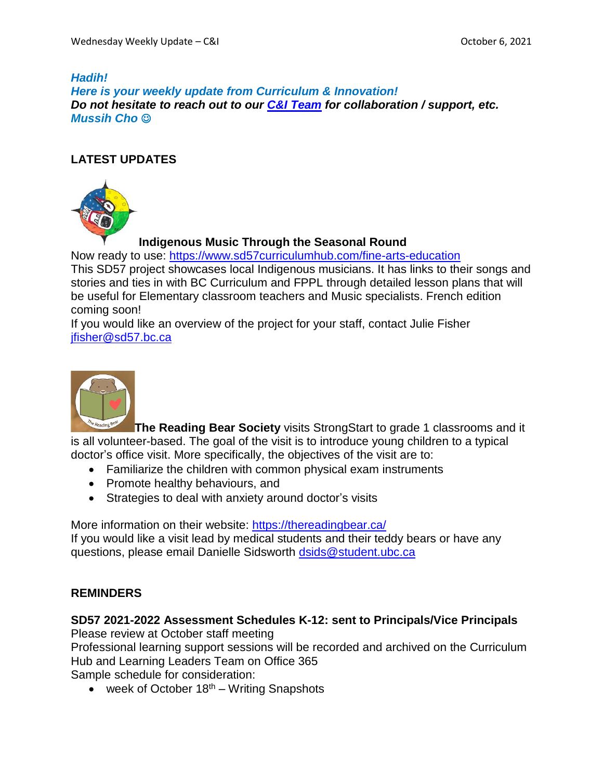### *Hadih! Here is your weekly update from Curriculum & Innovation! Do not hesitate to reach out to our C&I [Team](https://www.sd57curriculumhub.com/who-are-we) for collaboration / support, etc. Mussih Cho*

# **LATEST UPDATES**



# **Indigenous Music Through the Seasonal Round**

Now ready to use: <https://www.sd57curriculumhub.com/fine-arts-education> This SD57 project showcases local Indigenous musicians. It has links to their songs and stories and ties in with BC Curriculum and FPPL through detailed lesson plans that will be useful for Elementary classroom teachers and Music specialists. French edition coming soon!

If you would like an overview of the project for your staff, contact Julie Fisher [jfisher@sd57.bc.ca](mailto:jfisher@sd57.bc.ca)



**[T](https://thereadingbear.ca/)he Reading Bear Society** visits StrongStart to grade 1 classrooms and it is all volunteer-based. The goal of the visit is to introduce young children to a typical doctor's office visit. More specifically, the objectives of the visit are to:

- Familiarize the children with common physical exam instruments
- Promote healthy behaviours, and
- Strategies to deal with anxiety around doctor's visits

More information on their website: <https://thereadingbear.ca/> If you would like a visit lead by medical students and their teddy bears or have any questions, please email Danielle Sidsworth [dsids@student.ubc.ca](mailto:dsids@student.ubc.ca)

# **REMINDERS**

# **SD57 2021-2022 Assessment Schedules K-12: sent to Principals/Vice Principals**

Please review at October staff meeting

Professional learning support sessions will be recorded and archived on the Curriculum Hub and Learning Leaders Team on Office 365

Sample schedule for consideration:

• week of October  $18<sup>th</sup>$  – Writing Snapshots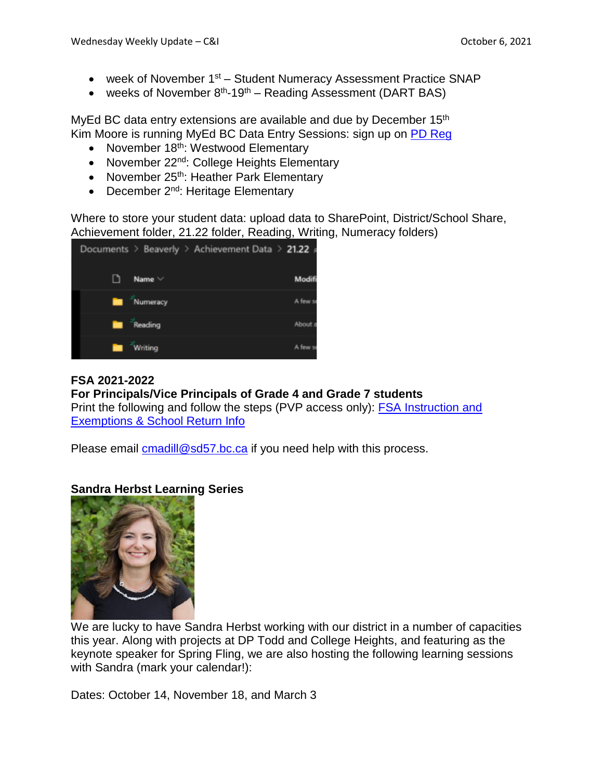- week of November 1<sup>st</sup> Student Numeracy Assessment Practice SNAP
- weeks of November  $8<sup>th</sup> 19<sup>th</sup> -$  Reading Assessment (DART BAS)

MyEd BC data entry extensions are available and due by December  $15<sup>th</sup>$ Kim Moore is running MyEd BC Data Entry Sessions: sign up on PD [Reg](https://apps.powerapps.com/play/providers/Microsoft.PowerApps/apps/4eceb8ec-7e63-4ffa-bf7c-35490d32df6b)

- November 18th: Westwood Elementary
- November 22<sup>nd</sup>: College Heights Elementary
- November 25<sup>th</sup>: Heather Park Elementary
- December 2<sup>nd</sup>: Heritage Elementary

Where to store your student data: upload data to SharePoint, District/School Share, Achievement folder, 21.22 folder, Reading, Writing, Numeracy folders)



# **FSA 2021-2022**

**For Principals/Vice Principals of Grade 4 and Grade 7 students** Print the following and follow the steps (PVP access only): FSA [Instruction](https://schdist57.sharepoint.com/sites/DistrictSchoolShare/Foundation%20Skills%20Assessment%20FSA/Forms/AllItems.aspx?id=%2Fsites%2FDistrictSchoolShare%2FFoundation%20Skills%20Assessment%20FSA%2FFSA%20documents%2FFSA%20Instruction%20and%20exemptions%20%20%26%20school%20return%20info%2Epdf&parent=%2Fsites%2FDistrictSchoolShare%2FFoundation%20Skills%20Assessment%20FSA%2FFSA%20documents) and

[Exemptions](https://schdist57.sharepoint.com/sites/DistrictSchoolShare/Foundation%20Skills%20Assessment%20FSA/Forms/AllItems.aspx?id=%2Fsites%2FDistrictSchoolShare%2FFoundation%20Skills%20Assessment%20FSA%2FFSA%20documents%2FFSA%20Instruction%20and%20exemptions%20%20%26%20school%20return%20info%2Epdf&parent=%2Fsites%2FDistrictSchoolShare%2FFoundation%20Skills%20Assessment%20FSA%2FFSA%20documents) & School Return Info

Please email [cmadill@sd57.bc.ca](mailto:cmadill@sd57.bc.ca) if you need help with this process.

### **Sandra Herbst Learning Series**



We are lucky to have Sandra Herbst working with our district in a number of capacities this year. Along with projects at DP Todd and College Heights, and featuring as the keynote speaker for Spring Fling, we are also hosting the following learning sessions with Sandra (mark your calendar!):

Dates: October 14, November 18, and March 3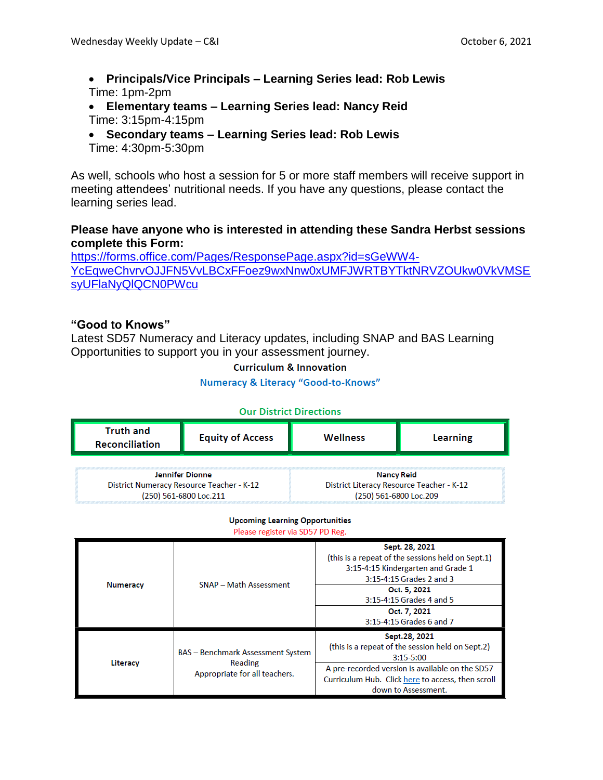- **Principals/Vice Principals – Learning Series lead: Rob Lewis** Time: 1pm-2pm
- **Elementary teams – Learning Series lead: Nancy Reid** Time: 3:15pm-4:15pm
- **Secondary teams – Learning Series lead: Rob Lewis** Time: 4:30pm-5:30pm

As well, schools who host a session for 5 or more staff members will receive support in meeting attendees' nutritional needs. If you have any questions, please contact the learning series lead.

### **Please have anyone who is interested in attending these Sandra Herbst sessions complete this Form:**

[https://forms.office.com/Pages/ResponsePage.aspx?id=sGeWW4-](https://forms.office.com/Pages/ResponsePage.aspx?id=sGeWW4-YcEqweChvrvOJJFN5VvLBCxFFoez9wxNnw0xUMFJWRTBYTktNRVZOUkw0VkVMSEsyUFlaNyQlQCN0PWcu) [YcEqweChvrvOJJFN5VvLBCxFFoez9wxNnw0xUMFJWRTBYTktNRVZOUkw0VkVMSE](https://forms.office.com/Pages/ResponsePage.aspx?id=sGeWW4-YcEqweChvrvOJJFN5VvLBCxFFoez9wxNnw0xUMFJWRTBYTktNRVZOUkw0VkVMSEsyUFlaNyQlQCN0PWcu) [syUFlaNyQlQCN0PWcu](https://forms.office.com/Pages/ResponsePage.aspx?id=sGeWW4-YcEqweChvrvOJJFN5VvLBCxFFoez9wxNnw0xUMFJWRTBYTktNRVZOUkw0VkVMSEsyUFlaNyQlQCN0PWcu)

### **"Good to Knows"**

Latest SD57 Numeracy and Literacy updates, including SNAP and BAS Learning Opportunities to support you in your assessment journey.

**Curriculum & Innovation** 

**Numeracy & Literacy "Good-to-Knows"** 

| <b>Our District Directions</b>            |                         |                                           |                 |
|-------------------------------------------|-------------------------|-------------------------------------------|-----------------|
| <b>Truth and</b><br><b>Reconciliation</b> | <b>Equity of Access</b> | Wellness                                  | <b>Learning</b> |
|                                           |                         |                                           |                 |
| <b>Jennifer Dionne</b>                    |                         | <b>Nancy Reid</b>                         |                 |
| District Numeracy Resource Teacher - K-12 |                         | District Literacy Resource Teacher - K-12 |                 |
| (250) 561-6800 Loc.211                    |                         | (250) 561-6800 Loc.209                    |                 |

# **Upcoming Learning Opportunities**

#### Please register via SD57 PD Reg.

| <b>Numeracy</b> | <b>SNAP - Math Assessment</b>                                                        | Sept. 28, 2021<br>(this is a repeat of the sessions held on Sept.1)<br>3:15-4:15 Kindergarten and Grade 1<br>3:15-4:15 Grades 2 and 3<br>Oct. 5, 2021 |
|-----------------|--------------------------------------------------------------------------------------|-------------------------------------------------------------------------------------------------------------------------------------------------------|
|                 |                                                                                      | 3:15-4:15 Grades 4 and 5                                                                                                                              |
|                 |                                                                                      | Oct. 7, 2021                                                                                                                                          |
|                 |                                                                                      | 3:15-4:15 Grades 6 and 7                                                                                                                              |
| Literacy        | <b>BAS</b> - Benchmark Assessment System<br>Reading<br>Appropriate for all teachers. | Sept.28, 2021<br>(this is a repeat of the session held on Sept.2)<br>$3:15 - 5:00$                                                                    |
|                 |                                                                                      | A pre-recorded version is available on the SD57                                                                                                       |
|                 |                                                                                      | Curriculum Hub. Click here to access, then scroll                                                                                                     |
|                 |                                                                                      | down to Assessment.                                                                                                                                   |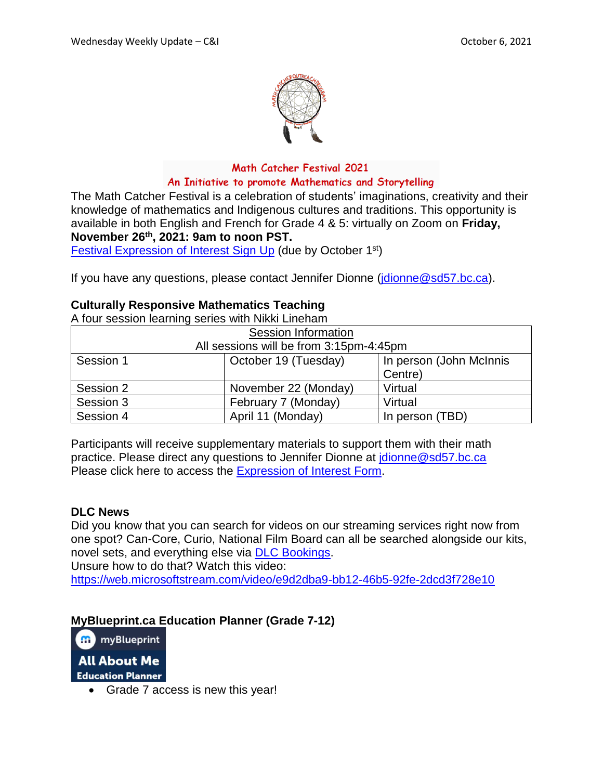

### Math Catcher Festival 2021 An Initiative to promote Mathematics and Storytelling

The Math Catcher Festival is a celebration of students' imaginations, creativity and their knowledge of mathematics and Indigenous cultures and traditions. This opportunity is available in both English and French for Grade 4 & 5: virtually on Zoom on **Friday, November 26th , 2021: 9am to noon PST.**

Festival [Expression](https://www.surveymonkey.ca/r/MCFestival_21) of Interest Sign Up (due by October 1<sup>st</sup>)

If you have any questions, please contact Jennifer Dionne (*jdionne@sd57.bc.ca*).

# **Culturally Responsive Mathematics Teaching**

A four session learning series with Nikki Lineham

| <b>Session Information</b>              |                      |                         |
|-----------------------------------------|----------------------|-------------------------|
| All sessions will be from 3:15pm-4:45pm |                      |                         |
| Session 1                               | October 19 (Tuesday) | In person (John McInnis |
|                                         |                      | Centre)                 |
| Session 2                               | November 22 (Monday) | Virtual                 |
| Session 3                               | February 7 (Monday)  | Virtual                 |
| Session 4                               | April 11 (Monday)    | In person (TBD)         |

Participants will receive supplementary materials to support them with their math practice. Please direct any questions to Jennifer Dionne at [jdionne@sd57.bc.ca](mailto:jdionne@sd57.bc.ca) Please click here to access the [Expression](https://forms.office.com/Pages/ResponsePage.aspx?id=sGeWW4-YcEqweChvrvOJJBfrd7yvjK5KqoCJiriq76lUNDRMSzZRSUlMMkpOUDFGS0dNTDM5NTdETC4u) of Interest Form.

### **DLC News**

Did you know that you can search for videos on our streaming services right now from one spot? Can-Core, Curio, National Film Board can all be searched alongside our kits, novel sets, and everything else via DLC [Bookings.](http://media.dymaxion.ca/SD57/) Unsure how to do that? Watch this video:

<https://web.microsoftstream.com/video/e9d2dba9-bb12-46b5-92fe-2dcd3f728e10>

# **MyBlueprint.ca Education Planner (Grade 7-12)**

**H** myBlueprint **All About Me Education Planner** 

Grade 7 access is new this year!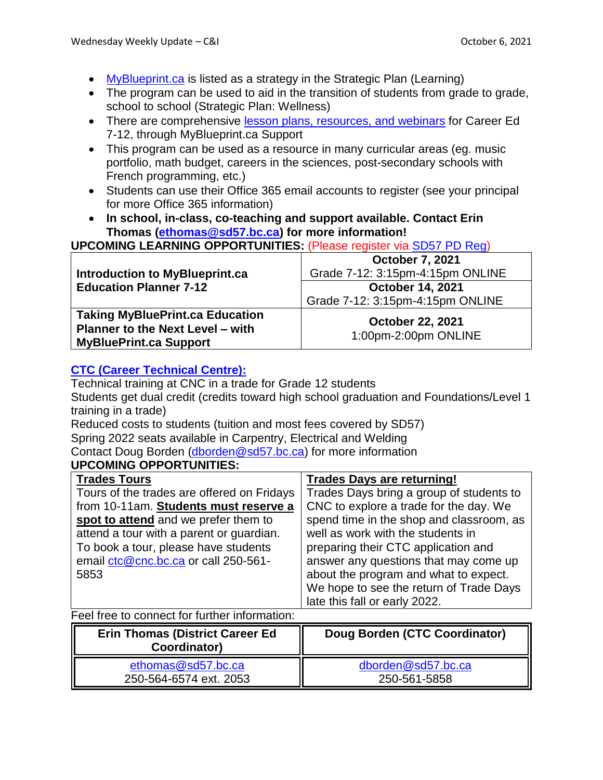- [MyBlueprint.ca](https://app.myblueprint.ca/?sdid=sd57) is listed as a strategy in the Strategic Plan (Learning)
- The program can be used to aid in the transition of students from grade to grade, school to school (Strategic Plan: Wellness)
- There are comprehensive lesson plans, [resources,](https://myblueprint.ca/support) and webinars for Career Ed 7-12, through MyBlueprint.ca Support
- This program can be used as a resource in many curricular areas (eg. music portfolio, math budget, careers in the sciences, post-secondary schools with French programming, etc.)
- Students can use their Office 365 email accounts to register (see your principal for more Office 365 information)
- **In school, in-class, co-teaching and support available. Contact Erin Thomas [\(ethomas@sd57.bc.ca\)](mailto:ethomas@sd57.bc.ca) for more information!**

**UPCOMING LEARNING OPPORTUNITIES:** (Please register via [SD57](https://apps.powerapps.com/play/providers/Microsoft.PowerApps/apps/4eceb8ec-7e63-4ffa-bf7c-35490d32df6b) PD Reg)

| Introduction to MyBlueprint.ca                                                                                     | <b>October 7, 2021</b><br>Grade 7-12: 3:15pm-4:15pm ONLINE  |
|--------------------------------------------------------------------------------------------------------------------|-------------------------------------------------------------|
| <b>Education Planner 7-12</b>                                                                                      | <b>October 14, 2021</b><br>Grade 7-12: 3:15pm-4:15pm ONLINE |
| <b>Taking MyBluePrint.ca Education</b><br><b>Planner to the Next Level – with</b><br><b>MyBluePrint.ca Support</b> | <b>October 22, 2021</b><br>1:00pm-2:00pm ONLINE             |

# **CTC (Career [Technical](https://cnc.bc.ca/programs-courses/programs/ctc) Centre):**

Technical training at CNC in a trade for Grade 12 students Students get dual credit (credits toward high school graduation and Foundations/Level 1 training in a trade)

Reduced costs to students (tuition and most fees covered by SD57)

Spring 2022 seats available in Carpentry, Electrical and Welding

Contact Doug Borden [\(dborden@sd57.bc.ca\)](mailto:dborden@sd57.bc.ca) for more information

| UPCOMING OPPORTUNITIES: |  |
|-------------------------|--|

| <b>Trades Tours</b>                        | <b>Trades Days are returning!</b>        |
|--------------------------------------------|------------------------------------------|
| Tours of the trades are offered on Fridays | Trades Days bring a group of students to |
| from 10-11am. Students must reserve a      | CNC to explore a trade for the day. We   |
| spot to attend and we prefer them to       | spend time in the shop and classroom, as |
| attend a tour with a parent or guardian.   | well as work with the students in        |
| To book a tour, please have students       | preparing their CTC application and      |
| email ctc@cnc.bc.ca or call 250-561-       | answer any questions that may come up    |
| 5853                                       | about the program and what to expect.    |
|                                            | We hope to see the return of Trade Days  |
|                                            | late this fall or early 2022.            |

Feel free to connect for further information:

| <b>Erin Thomas (District Career Ed)</b><br>Coordinator) | Doug Borden (CTC Coordinator) |
|---------------------------------------------------------|-------------------------------|
| ethomas@sd57.bc.ca                                      | dborden@sd57.bc.ca            |
| 250-564-6574 ext. 2053                                  | 250-561-5858                  |